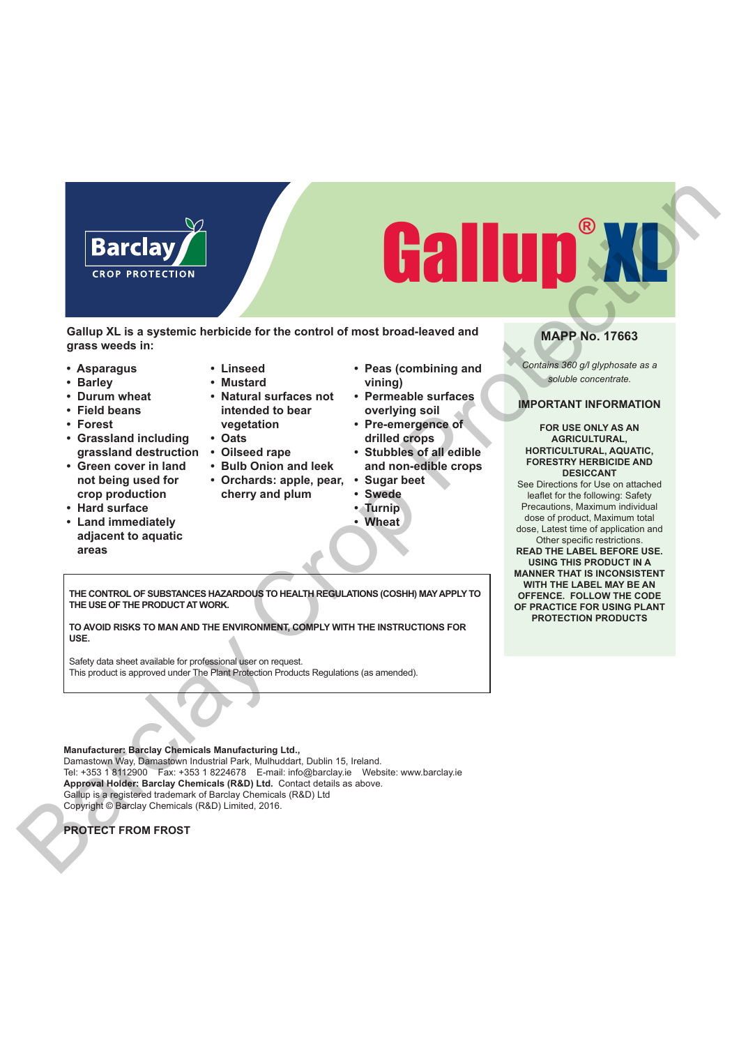# Gallup® XL Barclay Crop Protection

**Gallup XL is a systemic herbicide for the control of most broad-leaved and grass weeds in:**

- **Asparagus**
- **Barley**
- **Durum wheat**
- **Field beans**
- **Forest**
- **Grassland including**
- **Green cover in land not being used for crop production**
- **Hard surface**
- **Land immediately adjacent to aquatic areas**
- **Linseed • Mustard**
- **Natural surfaces not intended to bear vegetation**
- **Oats**
- **grassland destruction Oilseed rape**
	- **Bulb Onion and leek**
	- **Orchards: apple, pear, cherry and plum**
		- - **Wheat**
- **Peas (combining and vining)**
- **Permeable surfaces overlying soil**
- **Pre-emergence of drilled crops**
- **Stubbles of all edible and non-edible crops**
- **Sugar beet**
- **Swede**
- **Turnip**
- 

**MAPP No. 17663**

*Contains 360 g/l glyphosate as a soluble concentrate.*

# **IMPORTANT INFORMATION**

### **FOR USE ONLY AS AN AGRICULTURAL, HORTICULTURAL, AQUATIC, FORESTRY HERBICIDE AND DESICCANT**

See Directions for Use on attached leaflet for the following: Safety Precautions, Maximum individual dose of product, Maximum total dose, Latest time of application and

Other specific restrictions. **READ THE LABEL BEFORE USE. USING THIS PRODUCT IN A MANNER THAT IS INCONSISTENT WITH THE LABEL MAY BE AN OFFENCE. FOLLOW THE CODE OF PRACTICE FOR USING PLANT PROTECTION PRODUCTS**

**THE CONTROL OF SUBSTANCES HAZARDOUS TO HEALTH REGULATIONS (COSHH) MAY APPLY TO THE USE OF THE PRODUCT AT WORK.**

**TO AVOID RISKS TO MAN AND THE ENVIRONMENT, COMPLY WITH THE INSTRUCTIONS FOR USE.**

Safety data sheet available for professional user on request. This product is approved under The Plant Protection Products Regulations (as amended).

**Manufacturer: Barclay Chemicals Manufacturing Ltd.,**  Damastown Way, Damastown Industrial Park, Mulhuddart, Dublin 15, Ireland. Tel: +353 1 8112900 Fax: +353 1 8224678 E-mail: info@barclay.ie Website: www.barclay.ie

**Approval Holder: Barclay Chemicals (R&D) Ltd.** Contact details as above.

Gallup is a registered trademark of Barclay Chemicals (R&D) Ltd

Copyright © Barclay Chemicals (R&D) Limited, 2016.

**PROTECT FROM FROST**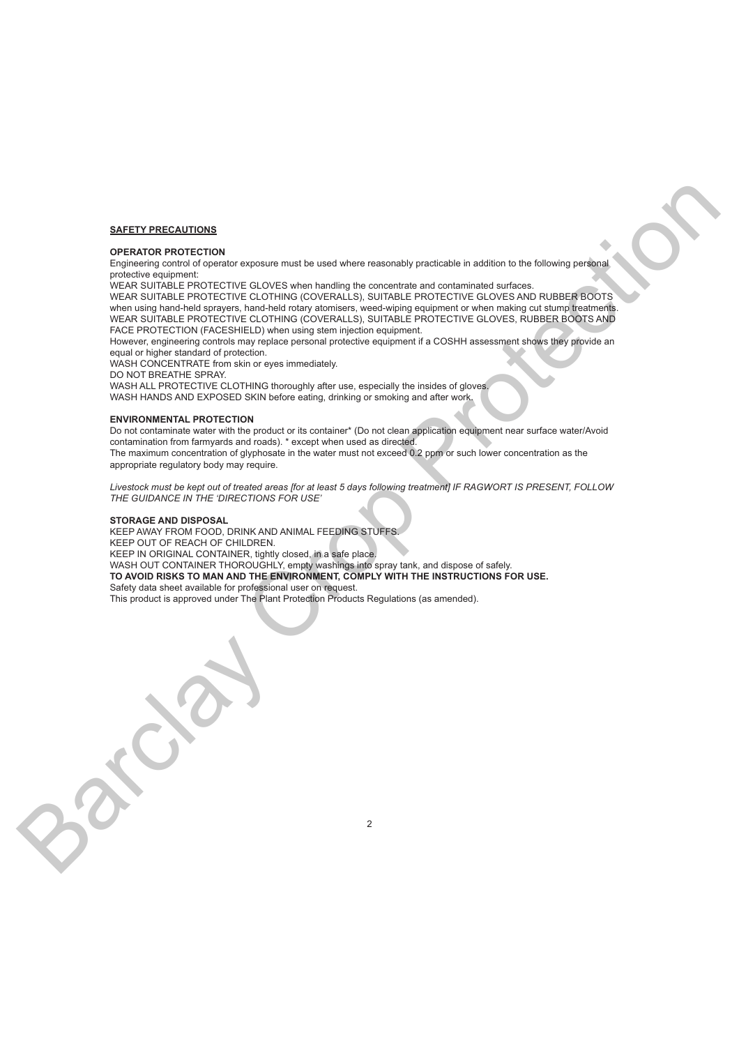# **SAFETY PRECAUTIONS**

# **OPERATOR PROTECTION**

Engineering control of operator exposure must be used where reasonably practicable in addition to the following personal protective equipment:

WEAR SUITABLE PROTECTIVE GLOVES when handling the concentrate and contaminated surfaces.

WEAR SUITABLE PROTECTIVE CLOTHING (COVERALLS), SUITABLE PROTECTIVE GLOVES AND RUBBER BOOTS when using hand-held sprayers, hand-held rotary atomisers, weed-wiping equipment or when making cut stump treatments. WEAR SUITABLE PROTECTIVE CLOTHING (COVERALLS), SUITABLE PROTECTIVE GLOVES, RUBBER BOOTS AND FACE PROTECTION (FACESHIELD) when using stem injection equipment.

However, engineering controls may replace personal protective equipment if a COSHH assessment shows they provide an equal or higher standard of protection.

WASH CONCENTRATE from skin or eyes immediately.

DO NOT BREATHE SPRAY.

WASH ALL PROTECTIVE CLOTHING thoroughly after use, especially the insides of gloves. WASH HANDS AND EXPOSED SKIN before eating, drinking or smoking and after work.

### **ENVIRONMENTAL PROTECTION**

Do not contaminate water with the product or its container\* (Do not clean application equipment near surface water/Avoid contamination from farmyards and roads). \* except when used as directed.

The maximum concentration of glyphosate in the water must not exceed 0.2 ppm or such lower concentration as the appropriate regulatory body may require.

*Livestock must be kept out of treated areas [for at least 5 days following treatment] IF RAGWORT IS PRESENT, FOLLOW THE GUIDANCE IN THE 'DIRECTIONS FOR USE'*

2

### **STORAGE AND DISPOSAL**

KEEP AWAY FROM FOOD, DRINK AND ANIMAL FEEDING STUFFS. KEEP OUT OF REACH OF CHILDREN. KEEP IN ORIGINAL CONTAINER, tightly closed, in a safe place. WASH OUT CONTAINER THOROUGHLY, empty washings into spray tank, and dispose of safely. **TO AVOID RISKS TO MAN AND THE ENVIRONMENT, COMPLY WITH THE INSTRUCTIONS FOR USE.** Safety data sheet available for professional user on request. This product is approved under The Plant Protection Products Regulations (as amended). SAFEY PRECAUTIONS<br>
CREATIVE RECORD TO CONTROL IN A SIGN SPECIFIC IN CONSULTION CONTROL INTERFERING TO CONTROL IN A SIGN SPECIFIC INTERFERING TO CONTROL INTERFERING TO CONTROL INTERFERING TO CONTROL INTERFERING TO CONTROL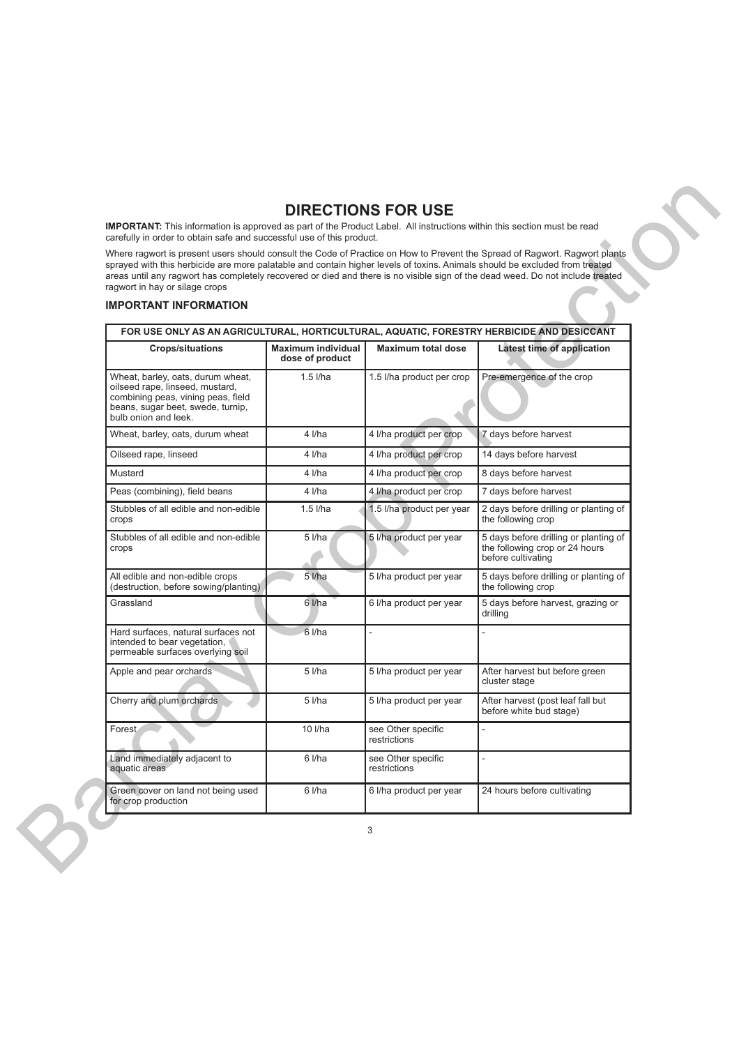# **DIRECTIONS FOR USE**

# **IMPORTANT INFORMATION**

| Where ragwort is present users should consult the Code of Practice on How to Prevent the Spread of Ragwort. Ragwort plants<br>sprayed with this herbicide are more palatable and contain higher levels of toxins. Animals should be excluded from treated<br>areas until any ragwort has completely recovered or died and there is no visible sign of the dead weed. Do not include treated<br>ragwort in hay or silage crops | carefully in order to obtain safe and successful use of this product. |                                    |                                                                                               |
|-------------------------------------------------------------------------------------------------------------------------------------------------------------------------------------------------------------------------------------------------------------------------------------------------------------------------------------------------------------------------------------------------------------------------------|-----------------------------------------------------------------------|------------------------------------|-----------------------------------------------------------------------------------------------|
| <b>IMPORTANT INFORMATION</b>                                                                                                                                                                                                                                                                                                                                                                                                  |                                                                       |                                    |                                                                                               |
| FOR USE ONLY AS AN AGRICULTURAL, HORTICULTURAL, AQUATIC, FORESTRY HERBICIDE AND DESICCANT                                                                                                                                                                                                                                                                                                                                     |                                                                       |                                    |                                                                                               |
| <b>Crops/situations</b>                                                                                                                                                                                                                                                                                                                                                                                                       | <b>Maximum individual</b><br>dose of product                          | <b>Maximum total dose</b>          | Latest time of application                                                                    |
| Wheat, barley, oats, durum wheat,<br>oilseed rape, linseed, mustard,<br>combining peas, vining peas, field<br>beans, sugar beet, swede, turnip,<br>bulb onion and leek.                                                                                                                                                                                                                                                       | $1.5$ $I/ha$                                                          | 1.5 I/ha product per crop          | Pre-emergence of the crop                                                                     |
| Wheat, barley, oats, durum wheat                                                                                                                                                                                                                                                                                                                                                                                              | 4 I/ha                                                                | 4 I/ha product per crop            | 7 days before harvest                                                                         |
| Oilseed rape, linseed                                                                                                                                                                                                                                                                                                                                                                                                         | $4$ <i>l/ha</i>                                                       | 4 I/ha product per crop            | 14 days before harvest                                                                        |
| Mustard                                                                                                                                                                                                                                                                                                                                                                                                                       | $4$ <i>l/ha</i>                                                       | 4 I/ha product per crop            | 8 days before harvest                                                                         |
| Peas (combining), field beans                                                                                                                                                                                                                                                                                                                                                                                                 | $4$ <i>l/ha</i>                                                       | 4 I/ha product per crop            | 7 days before harvest                                                                         |
| Stubbles of all edible and non-edible<br>crops                                                                                                                                                                                                                                                                                                                                                                                | $1.5$ l/ha                                                            | 1.5 I/ha product per year          | 2 days before drilling or planting of<br>the following crop                                   |
| Stubbles of all edible and non-edible<br>crops                                                                                                                                                                                                                                                                                                                                                                                | $5$ $1/ha$                                                            | 5 I/ha product per year            | 5 days before drilling or planting of<br>the following crop or 24 hours<br>before cultivating |
| All edible and non-edible crops<br>(destruction, before sowing/planting)                                                                                                                                                                                                                                                                                                                                                      | $5$ $I/ha$                                                            | 5 I/ha product per year            | 5 days before drilling or planting of<br>the following crop                                   |
| Grassland                                                                                                                                                                                                                                                                                                                                                                                                                     | 6 l/ha                                                                | 6 I/ha product per year            | 5 days before harvest, grazing or<br>drilling                                                 |
| Hard surfaces, natural surfaces not<br>intended to bear vegetation,<br>permeable surfaces overlying soil                                                                                                                                                                                                                                                                                                                      | 6 l/ha                                                                |                                    |                                                                                               |
| Apple and pear orchards                                                                                                                                                                                                                                                                                                                                                                                                       | $5$ $1/ha$                                                            | 5 I/ha product per year            | After harvest but before green<br>cluster stage                                               |
| Cherry and plum orchards                                                                                                                                                                                                                                                                                                                                                                                                      | 5 l/ha                                                                | 5 I/ha product per year            | After harvest (post leaf fall but<br>before white bud stage)                                  |
| Forest<br>$\overline{\phantom{a}}$                                                                                                                                                                                                                                                                                                                                                                                            | 10 l/ha                                                               | see Other specific<br>restrictions |                                                                                               |
| Land immediately adjacent to<br>aquatic areas                                                                                                                                                                                                                                                                                                                                                                                 | 6 l/ha                                                                | see Other specific<br>restrictions |                                                                                               |
| Green cover on land not being used<br>for crop production                                                                                                                                                                                                                                                                                                                                                                     | 6 l/ha                                                                | 6 I/ha product per year            | 24 hours before cultivating                                                                   |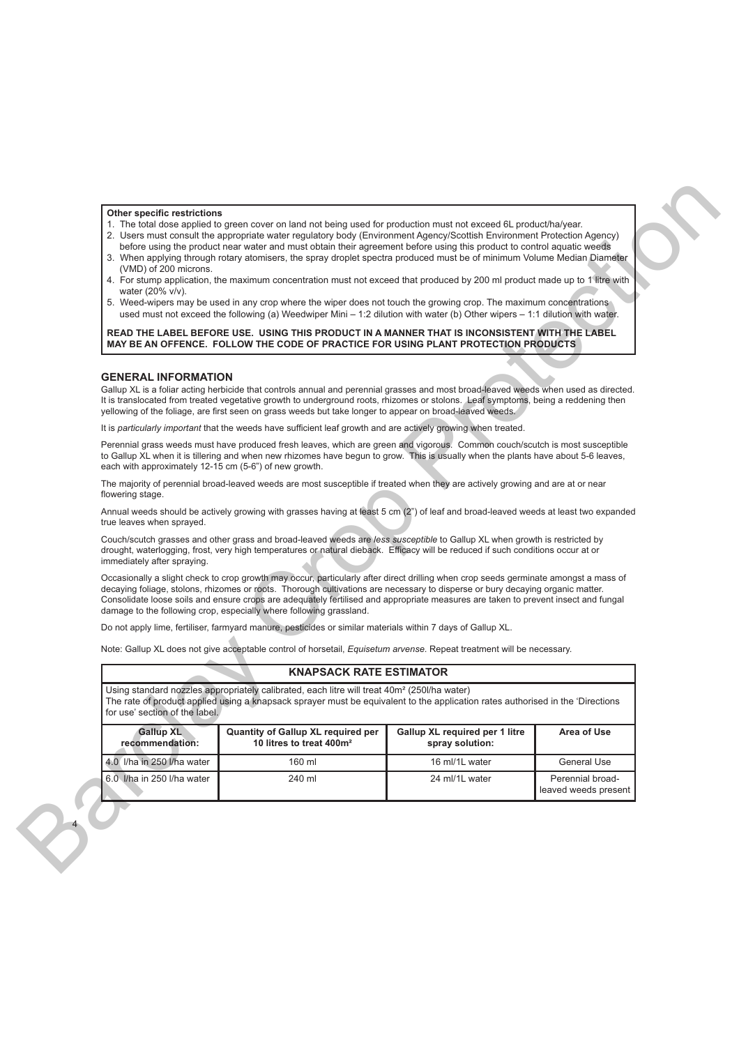### **Other specific restrictions**

- 1. The total dose applied to green cover on land not being used for production must not exceed 6L product/ha/year.
- 2. Users must consult the appropriate water regulatory body (Environment Agency/Scottish Environment Protection Agency)
- before using the product near water and must obtain their agreement before using this product to control aquatic weeds 3. When applying through rotary atomisers, the spray droplet spectra produced must be of minimum Volume Median Diameter (VMD) of 200 microns.
- 4. For stump application, the maximum concentration must not exceed that produced by 200 ml product made up to 1 litre with water (20% v/v).
- 5. Weed-wipers may be used in any crop where the wiper does not touch the growing crop. The maximum concentrations used must not exceed the following (a) Weedwiper Mini – 1:2 dilution with water (b) Other wipers – 1:1 dilution with water.

# **GENERAL INFORMATION**

# **KNAPSACK RATE ESTIMATOR**

| (VMD) of 200 microns.<br>water (20% v/v).<br><b>GENERAL INFORMATION</b> | 1. The total dose applied to green cover on land not being used for production must not exceed 6L product/ha/year.<br>2. Users must consult the appropriate water regulatory body (Environment Agency/Scottish Environment Protection Agency)<br>before using the product near water and must obtain their agreement before using this product to control aquatic weeds<br>3. When applying through rotary atomisers, the spray droplet spectra produced must be of minimum Volume Median Diameter<br>4. For stump application, the maximum concentration must not exceed that produced by 200 ml product made up to 1 litre with<br>5. Weed-wipers may be used in any crop where the wiper does not touch the growing crop. The maximum concentrations<br>used must not exceed the following (a) Weedwiper Mini – 1:2 dilution with water (b) Other wipers – 1:1 dilution with water.<br>READ THE LABEL BEFORE USE. USING THIS PRODUCT IN A MANNER THAT IS INCONSISTENT WITH THE LABEL<br>MAY BE AN OFFENCE. FOLLOW THE CODE OF PRACTICE FOR USING PLANT PROTECTION PRODUCTS<br>Gallup XL is a foliar acting herbicide that controls annual and perennial grasses and most broad-leaved weeds when used as directed.<br>It is translocated from treated vegetative growth to underground roots, rhizomes or stolons. Leaf symptoms, being a reddening then<br>yellowing of the foliage, are first seen on grass weeds but take longer to appear on broad-leaved weeds.<br>It is particularly important that the weeds have sufficient leaf growth and are actively growing when treated. |                                                   |                  |
|-------------------------------------------------------------------------|-------------------------------------------------------------------------------------------------------------------------------------------------------------------------------------------------------------------------------------------------------------------------------------------------------------------------------------------------------------------------------------------------------------------------------------------------------------------------------------------------------------------------------------------------------------------------------------------------------------------------------------------------------------------------------------------------------------------------------------------------------------------------------------------------------------------------------------------------------------------------------------------------------------------------------------------------------------------------------------------------------------------------------------------------------------------------------------------------------------------------------------------------------------------------------------------------------------------------------------------------------------------------------------------------------------------------------------------------------------------------------------------------------------------------------------------------------------------------------------------------------------------------------------------------------------------------------------------|---------------------------------------------------|------------------|
| each with approximately 12-15 cm (5-6") of new growth.                  | Perennial grass weeds must have produced fresh leaves, which are green and vigorous. Common couch/scutch is most susceptible<br>to Gallup XL when it is tillering and when new rhizomes have begun to grow. This is usually when the plants have about 5-6 leaves,                                                                                                                                                                                                                                                                                                                                                                                                                                                                                                                                                                                                                                                                                                                                                                                                                                                                                                                                                                                                                                                                                                                                                                                                                                                                                                                        |                                                   |                  |
| flowering stage.                                                        | The majority of perennial broad-leaved weeds are most susceptible if treated when they are actively growing and are at or near                                                                                                                                                                                                                                                                                                                                                                                                                                                                                                                                                                                                                                                                                                                                                                                                                                                                                                                                                                                                                                                                                                                                                                                                                                                                                                                                                                                                                                                            |                                                   |                  |
| true leaves when sprayed.                                               | Annual weeds should be actively growing with grasses having at least 5 cm (2") of leaf and broad-leaved weeds at least two expanded                                                                                                                                                                                                                                                                                                                                                                                                                                                                                                                                                                                                                                                                                                                                                                                                                                                                                                                                                                                                                                                                                                                                                                                                                                                                                                                                                                                                                                                       |                                                   |                  |
| immediately after spraying.                                             | Couch/scutch grasses and other grass and broad-leaved weeds are less susceptible to Gallup XL when growth is restricted by<br>drought, waterlogging, frost, very high temperatures or natural dieback. Efficacy will be reduced if such conditions occur at or                                                                                                                                                                                                                                                                                                                                                                                                                                                                                                                                                                                                                                                                                                                                                                                                                                                                                                                                                                                                                                                                                                                                                                                                                                                                                                                            |                                                   |                  |
|                                                                         | Occasionally a slight check to crop growth may occur, particularly after direct drilling when crop seeds germinate amongst a mass of<br>decaying foliage, stolons, rhizomes or roots. Thorough cultivations are necessary to disperse or bury decaying organic matter.<br>Consolidate loose soils and ensure crops are adequately fertilised and appropriate measures are taken to prevent insect and fungal<br>damage to the following crop, especially where following grassland.                                                                                                                                                                                                                                                                                                                                                                                                                                                                                                                                                                                                                                                                                                                                                                                                                                                                                                                                                                                                                                                                                                       |                                                   |                  |
|                                                                         | Do not apply lime, fertiliser, farmyard manure, pesticides or similar materials within 7 days of Gallup XL.                                                                                                                                                                                                                                                                                                                                                                                                                                                                                                                                                                                                                                                                                                                                                                                                                                                                                                                                                                                                                                                                                                                                                                                                                                                                                                                                                                                                                                                                               |                                                   |                  |
|                                                                         | Note: Gallup XL does not give acceptable control of horsetail, Equisetum arvense. Repeat treatment will be necessary.                                                                                                                                                                                                                                                                                                                                                                                                                                                                                                                                                                                                                                                                                                                                                                                                                                                                                                                                                                                                                                                                                                                                                                                                                                                                                                                                                                                                                                                                     |                                                   |                  |
|                                                                         | <b>KNAPSACK RATE ESTIMATOR</b>                                                                                                                                                                                                                                                                                                                                                                                                                                                                                                                                                                                                                                                                                                                                                                                                                                                                                                                                                                                                                                                                                                                                                                                                                                                                                                                                                                                                                                                                                                                                                            |                                                   |                  |
| for use' section of the label.                                          | Using standard nozzles appropriately calibrated, each litre will treat 40m <sup>2</sup> (250l/ha water)<br>The rate of product applied using a knapsack sprayer must be equivalent to the application rates authorised in the 'Directions'                                                                                                                                                                                                                                                                                                                                                                                                                                                                                                                                                                                                                                                                                                                                                                                                                                                                                                                                                                                                                                                                                                                                                                                                                                                                                                                                                |                                                   |                  |
| Gallup XL<br>recommendation:                                            | Quantity of Gallup XL required per<br>10 litres to treat 400m <sup>2</sup>                                                                                                                                                                                                                                                                                                                                                                                                                                                                                                                                                                                                                                                                                                                                                                                                                                                                                                                                                                                                                                                                                                                                                                                                                                                                                                                                                                                                                                                                                                                | Gallup XL required per 1 litre<br>spray solution: | Area of Use      |
|                                                                         | 160 ml                                                                                                                                                                                                                                                                                                                                                                                                                                                                                                                                                                                                                                                                                                                                                                                                                                                                                                                                                                                                                                                                                                                                                                                                                                                                                                                                                                                                                                                                                                                                                                                    | 16 ml/1L water                                    | General Use      |
| 4.0 I/ha in 250 I/ha water                                              |                                                                                                                                                                                                                                                                                                                                                                                                                                                                                                                                                                                                                                                                                                                                                                                                                                                                                                                                                                                                                                                                                                                                                                                                                                                                                                                                                                                                                                                                                                                                                                                           | 24 ml/1L water                                    | Perennial broad- |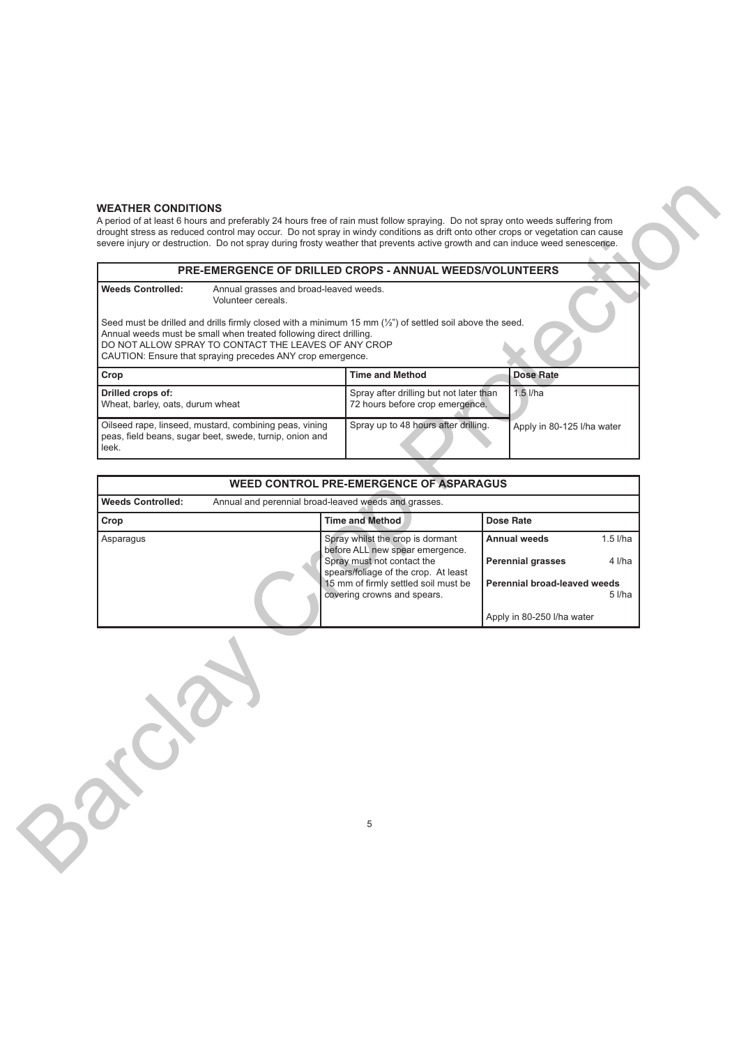# **WEATHER CONDITIONS**

A period of at least 6 hours and preferably 24 hours free of rain must follow spraying. Do not spray onto weeds suffering from drought stress as reduced control may occur. Do not spray in windy conditions as drift onto other crops or vegetation can cause severe injury or destruction. Do not spray during frosty weather that prevents active growth and can induce weed senescence.

| <b>Weeds Controlled:</b>                              | Annual grasses and broad-leaved weeds.<br>Volunteer cereals.                                                                                                                                                                                                                                                   |                                                                                                                                                                              |                                                                                        |
|-------------------------------------------------------|----------------------------------------------------------------------------------------------------------------------------------------------------------------------------------------------------------------------------------------------------------------------------------------------------------------|------------------------------------------------------------------------------------------------------------------------------------------------------------------------------|----------------------------------------------------------------------------------------|
|                                                       | Seed must be drilled and drills firmly closed with a minimum 15 mm $(\frac{1}{2})$ of settled soil above the seed.<br>Annual weeds must be small when treated following direct drilling.<br>DO NOT ALLOW SPRAY TO CONTACT THE LEAVES OF ANY CROP<br>CAUTION: Ensure that spraying precedes ANY crop emergence. |                                                                                                                                                                              |                                                                                        |
| Crop                                                  |                                                                                                                                                                                                                                                                                                                | <b>Time and Method</b>                                                                                                                                                       | <b>Dose Rate</b>                                                                       |
| Drilled crops of:<br>Wheat, barley, oats, durum wheat |                                                                                                                                                                                                                                                                                                                | Spray after drilling but not later than<br>72 hours before crop emergence.                                                                                                   | $1.5$ I/ha                                                                             |
| leek.                                                 | Oilseed rape, linseed, mustard, combining peas, vining<br>peas, field beans, sugar beet, swede, turnip, onion and                                                                                                                                                                                              | Spray up to 48 hours after drilling.                                                                                                                                         | Apply in 80-125 I/ha water                                                             |
|                                                       |                                                                                                                                                                                                                                                                                                                | <b>WEED CONTROL PRE-EMERGENCE OF ASPARAGUS</b>                                                                                                                               |                                                                                        |
| <b>Weeds Controlled:</b>                              | Annual and perennial broad-leaved weeds and grasses.                                                                                                                                                                                                                                                           |                                                                                                                                                                              |                                                                                        |
| Crop                                                  |                                                                                                                                                                                                                                                                                                                | <b>Time and Method</b>                                                                                                                                                       | <b>Dose Rate</b>                                                                       |
|                                                       |                                                                                                                                                                                                                                                                                                                | before ALL new spear emergence.<br>Spray must not contact the<br>spears/foliage of the crop. At least<br>15 mm of firmly settled soil must be<br>covering crowns and spears. | <b>Perennial grasses</b><br>Perennial broad-leaved weeds<br>Apply in 80-250 I/ha water |
|                                                       |                                                                                                                                                                                                                                                                                                                | 5                                                                                                                                                                            |                                                                                        |

| <b>WEED CONTROL PRE-EMERGENCE OF ASPARAGUS</b> |  |                                                                     |                                                 |
|------------------------------------------------|--|---------------------------------------------------------------------|-------------------------------------------------|
| <b>Weeds Controlled:</b>                       |  | Annual and perennial broad-leaved weeds and grasses.                |                                                 |
| Crop                                           |  | <b>Time and Method</b>                                              | <b>Dose Rate</b>                                |
| Asparagus                                      |  | Spray whilst the crop is dormant<br>before ALL new spear emergence. | <b>Annual weeds</b><br>$1.5$ <i>l/ha</i>        |
|                                                |  | Spray must not contact the<br>spears/foliage of the crop. At least  | <b>Perennial grasses</b><br>$4$ I/ha            |
|                                                |  | 15 mm of firmly settled soil must be<br>covering crowns and spears. | Perennial broad-leaved weeds<br>$5$ <i>l/ha</i> |
|                                                |  |                                                                     | Apply in 80-250 I/ha water                      |

5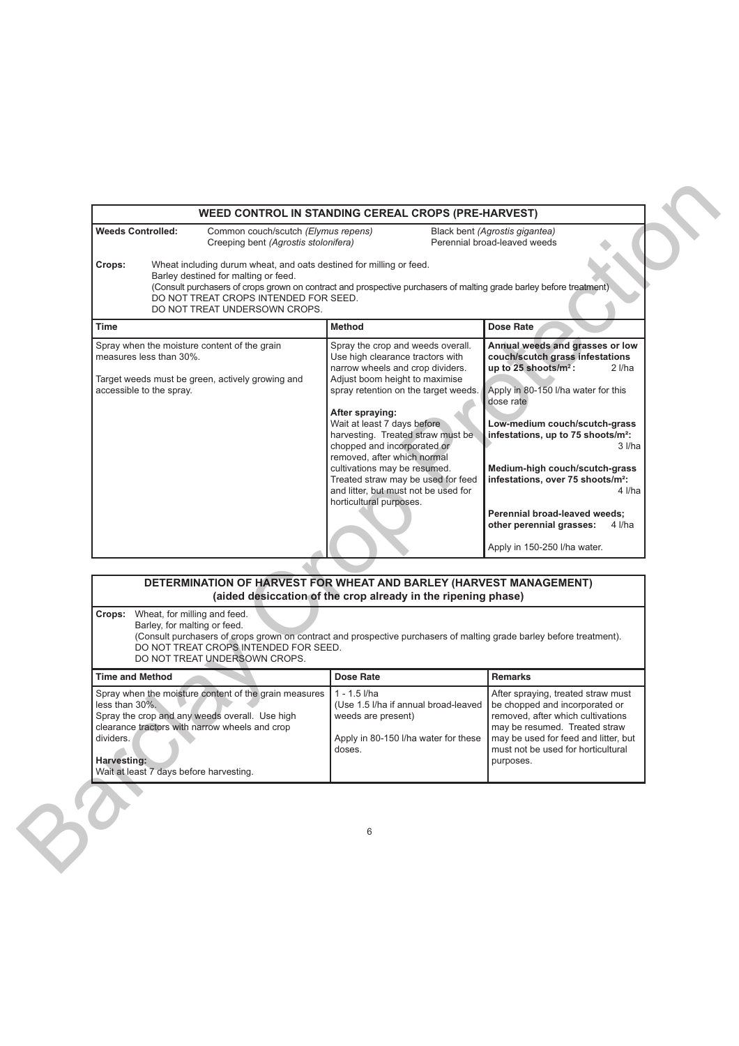| <b>Weeds Controlled:</b>                                                              | Common couch/scutch (Elymus repens)<br>Creeping bent (Agrostis stolonifera)                                                                                                           |                                                                                                                                                                                                                                                                                                                                                                                                                                                                                                                                                                                                                                                                                                                                                                                                                                                                                                                                                                                                                                  | Black bent (Agrostis gigantea)<br>Perennial broad-leaved weeds                                                                                                                                                                        |
|---------------------------------------------------------------------------------------|---------------------------------------------------------------------------------------------------------------------------------------------------------------------------------------|----------------------------------------------------------------------------------------------------------------------------------------------------------------------------------------------------------------------------------------------------------------------------------------------------------------------------------------------------------------------------------------------------------------------------------------------------------------------------------------------------------------------------------------------------------------------------------------------------------------------------------------------------------------------------------------------------------------------------------------------------------------------------------------------------------------------------------------------------------------------------------------------------------------------------------------------------------------------------------------------------------------------------------|---------------------------------------------------------------------------------------------------------------------------------------------------------------------------------------------------------------------------------------|
| Crops:                                                                                | Wheat including durum wheat, and oats destined for milling or feed.<br>Barley destined for malting or feed.<br>DO NOT TREAT CROPS INTENDED FOR SEED.<br>DO NOT TREAT UNDERSOWN CROPS. | (Consult purchasers of crops grown on contract and prospective purchasers of malting grade barley before treatment)                                                                                                                                                                                                                                                                                                                                                                                                                                                                                                                                                                                                                                                                                                                                                                                                                                                                                                              |                                                                                                                                                                                                                                       |
| Time                                                                                  |                                                                                                                                                                                       | <b>Method</b>                                                                                                                                                                                                                                                                                                                                                                                                                                                                                                                                                                                                                                                                                                                                                                                                                                                                                                                                                                                                                    | <b>Dose Rate</b>                                                                                                                                                                                                                      |
| measures less than 30%.<br>accessible to the spray.                                   | Spray when the moisture content of the grain<br>Target weeds must be green, actively growing and<br>(aided desiccation of the crop already in the ripening phase)                     | Spray the crop and weeds overall.<br>Annual weeds and grasses or low<br>Use high clearance tractors with<br>couch/scutch grass infestations<br>up to 25 shoots/m <sup>2</sup> :<br>narrow wheels and crop dividers.<br>2 l/ha<br>Adjust boom height to maximise<br>spray retention on the target weeds.<br>Apply in 80-150 I/ha water for this<br>dose rate<br>After spraying:<br>Wait at least 7 days before<br>Low-medium couch/scutch-grass<br>harvesting. Treated straw must be<br>infestations, up to 75 shoots/m <sup>2</sup> :<br>chopped and incorporated or<br>3 I/ha<br>removed, after which normal<br>cultivations may be resumed.<br>Medium-high couch/scutch-grass<br>Treated straw may be used for feed<br>infestations, over 75 shoots/m <sup>2</sup> :<br>and litter, but must not be used for<br>4 I/ha<br>horticultural purposes.<br>Perennial broad-leaved weeds;<br>other perennial grasses:<br>4 l/ha<br>Apply in 150-250 I/ha water.<br>DETERMINATION OF HARVEST FOR WHEAT AND BARLEY (HARVEST MANAGEMENT) |                                                                                                                                                                                                                                       |
| <b>Crops:</b> Wheat, for milling and feed.                                            | Barley, for malting or feed.<br>DO NOT TREAT CROPS INTENDED FOR SEED.<br>DO NOT TREAT UNDERSOWN CROPS.                                                                                | (Consult purchasers of crops grown on contract and prospective purchasers of malting grade barley before treatment).                                                                                                                                                                                                                                                                                                                                                                                                                                                                                                                                                                                                                                                                                                                                                                                                                                                                                                             |                                                                                                                                                                                                                                       |
| <b>Time and Method</b>                                                                |                                                                                                                                                                                       | <b>Dose Rate</b>                                                                                                                                                                                                                                                                                                                                                                                                                                                                                                                                                                                                                                                                                                                                                                                                                                                                                                                                                                                                                 | <b>Remarks</b>                                                                                                                                                                                                                        |
| less than 30%.<br>dividers.<br>Harvesting:<br>Wait at least 7 days before harvesting. | Spray when the moisture content of the grain measures<br>Spray the crop and any weeds overall. Use high<br>clearance tractors with narrow wheels and crop                             | $1 - 1.5$ I/ha<br>(Use 1.5 I/ha if annual broad-leaved<br>weeds are present)<br>Apply in 80-150 I/ha water for these<br>doses.                                                                                                                                                                                                                                                                                                                                                                                                                                                                                                                                                                                                                                                                                                                                                                                                                                                                                                   | After spraying, treated straw must<br>be chopped and incorporated or<br>removed, after which cultivations<br>may be resumed. Treated straw<br>may be used for feed and litter, but<br>must not be used for horticultural<br>purposes. |
|                                                                                       |                                                                                                                                                                                       | 6                                                                                                                                                                                                                                                                                                                                                                                                                                                                                                                                                                                                                                                                                                                                                                                                                                                                                                                                                                                                                                |                                                                                                                                                                                                                                       |

| DETERMINATION OF HARVEST FOR WHEAT AND BARLEY (HARVEST MANAGEMENT)                                                                                                                                                                                                       | (aided desiccation of the crop already in the ripening phase)                                                                  |                                                                                                                                                                                                                                       |
|--------------------------------------------------------------------------------------------------------------------------------------------------------------------------------------------------------------------------------------------------------------------------|--------------------------------------------------------------------------------------------------------------------------------|---------------------------------------------------------------------------------------------------------------------------------------------------------------------------------------------------------------------------------------|
| Wheat, for milling and feed.<br>Crops:<br>Barley, for malting or feed.<br>(Consult purchasers of crops grown on contract and prospective purchasers of malting grade barley before treatment).<br>DO NOT TREAT CROPS INTENDED FOR SEED.<br>DO NOT TREAT UNDERSOWN CROPS. |                                                                                                                                |                                                                                                                                                                                                                                       |
| <b>Time and Method</b>                                                                                                                                                                                                                                                   | <b>Dose Rate</b>                                                                                                               | <b>Remarks</b>                                                                                                                                                                                                                        |
| Spray when the moisture content of the grain measures<br>less than $30\%$ .<br>Spray the crop and any weeds overall. Use high<br>clearance tractors with narrow wheels and crop<br>dividers.<br>Harvesting:<br>Wait at least 7 days before harvesting.                   | $1 - 1.5$ I/ha<br>(Use 1.5 I/ha if annual broad-leaved<br>weeds are present)<br>Apply in 80-150 I/ha water for these<br>doses. | After spraying, treated straw must<br>be chopped and incorporated or<br>removed, after which cultivations<br>may be resumed. Treated straw<br>may be used for feed and litter, but<br>must not be used for horticultural<br>purposes. |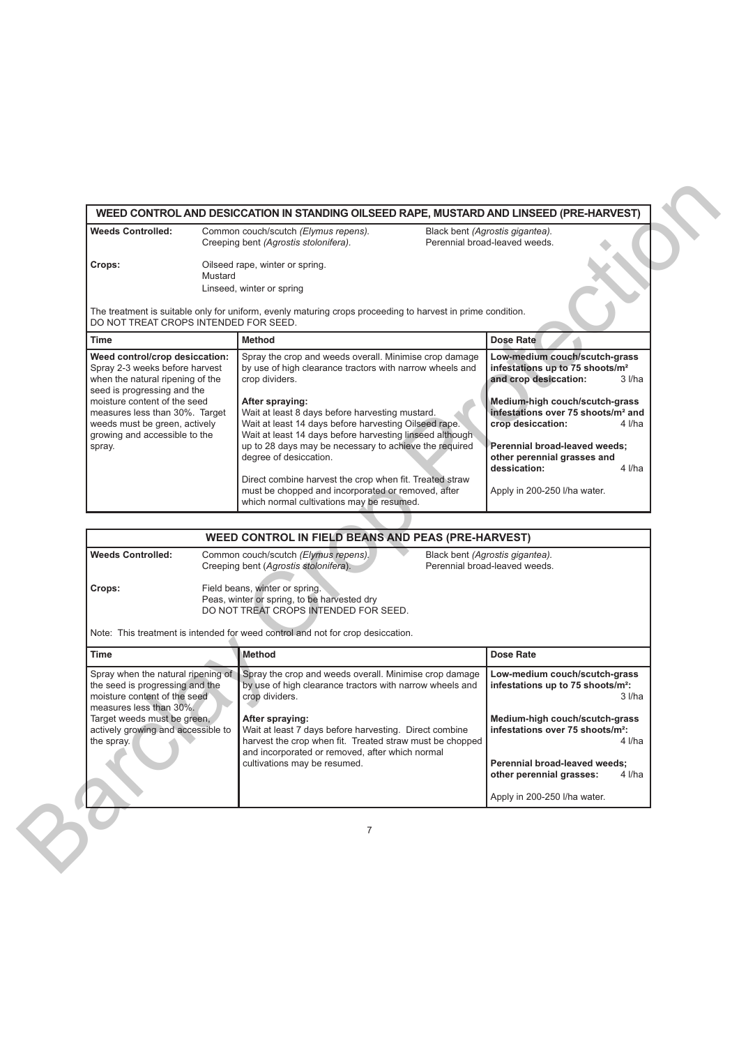| <b>Weeds Controlled:</b>                                                                                                                                            |         | Common couch/scutch (Elymus repens).<br>Black bent (Agrostis gigantea).<br>Creeping bent (Agrostis stolonifera).<br>Perennial broad-leaved weeds.                                                                                                        |                                                                                                                                                       |
|---------------------------------------------------------------------------------------------------------------------------------------------------------------------|---------|----------------------------------------------------------------------------------------------------------------------------------------------------------------------------------------------------------------------------------------------------------|-------------------------------------------------------------------------------------------------------------------------------------------------------|
| Crops:                                                                                                                                                              | Mustard | Oilseed rape, winter or spring.<br>Linseed, winter or spring                                                                                                                                                                                             |                                                                                                                                                       |
| DO NOT TREAT CROPS INTENDED FOR SEED.                                                                                                                               |         | The treatment is suitable only for uniform, evenly maturing crops proceeding to harvest in prime condition.                                                                                                                                              |                                                                                                                                                       |
| Time                                                                                                                                                                |         | <b>Method</b>                                                                                                                                                                                                                                            | <b>Dose Rate</b>                                                                                                                                      |
| Weed control/crop desiccation:<br>Spray 2-3 weeks before harvest<br>when the natural ripening of the<br>seed is progressing and the<br>moisture content of the seed |         | Spray the crop and weeds overall. Minimise crop damage<br>by use of high clearance tractors with narrow wheels and<br>crop dividers.<br>After spraying:                                                                                                  | Low-medium couch/scutch-grass<br>infestations up to 75 shoots/m <sup>2</sup><br>and crop desiccation:<br>$3$ $1/ha$<br>Medium-high couch/scutch-grass |
| measures less than 30%. Target<br>weeds must be green, actively<br>growing and accessible to the<br>spray.                                                          |         | Wait at least 8 days before harvesting mustard.<br>Wait at least 14 days before harvesting Oilseed rape.<br>Wait at least 14 days before harvesting linseed although<br>up to 28 days may be necessary to achieve the required<br>degree of desiccation. | infestations over 75 shoots/m <sup>2</sup> and<br>crop desiccation:<br>4 I/ha<br>Perennial broad-leaved weeds;<br>other perennial grasses and         |
|                                                                                                                                                                     |         | Direct combine harvest the crop when fit. Treated straw<br>must be chopped and incorporated or removed, after<br>which normal cultivations may be resumed.                                                                                               | dessication:<br>4 I/ha<br>Apply in 200-250 I/ha water.                                                                                                |
|                                                                                                                                                                     |         | WEED CONTROL IN FIELD BEANS AND PEAS (PRE-HARVEST)                                                                                                                                                                                                       |                                                                                                                                                       |
| <b>Weeds Controlled:</b>                                                                                                                                            |         | Common couch/scutch (Elymus repens).<br>Black bent (Agrostis gigantea).<br>Creeping bent (Agrostis stolonifera).<br>Perennial broad-leaved weeds.                                                                                                        |                                                                                                                                                       |
| Crops:                                                                                                                                                              |         | Field beans, winter or spring.<br>Peas, winter or spring, to be harvested dry<br>DO NOT TREAT CROPS INTENDED FOR SEED.                                                                                                                                   |                                                                                                                                                       |
|                                                                                                                                                                     |         | Note: This treatment is intended for weed control and not for crop desiccation.                                                                                                                                                                          |                                                                                                                                                       |
| <b>Time</b>                                                                                                                                                         |         | Method                                                                                                                                                                                                                                                   | <b>Dose Rate</b>                                                                                                                                      |
| Spray when the natural ripening of<br>the seed is progressing and the<br>moisture content of the seed<br>measures less than 30%.                                    |         | Spray the crop and weeds overall. Minimise crop damage<br>by use of high clearance tractors with narrow wheels and<br>crop dividers.                                                                                                                     | Low-medium couch/scutch-grass<br>infestations up to 75 shoots/m <sup>2</sup> :<br>$3$ $1/ha$                                                          |
| Target weeds must be green,<br>actively growing and accessible to<br>the spray.                                                                                     |         | After spraying:<br>Wait at least 7 days before harvesting. Direct combine<br>harvest the crop when fit. Treated straw must be chopped<br>and incorporated or removed, after which normal                                                                 | Medium-high couch/scutch-grass<br>infestations over 75 shoots/m <sup>2</sup> :<br>4 l/ha                                                              |
|                                                                                                                                                                     |         | cultivations may be resumed.                                                                                                                                                                                                                             | Perennial broad-leaved weeds;<br>other perennial grasses:<br>4 I/ha                                                                                   |
|                                                                                                                                                                     |         |                                                                                                                                                                                                                                                          | Apply in 200-250 I/ha water.                                                                                                                          |

|                                                                                                                                                                                                                     | WEED CONTROL IN FIELD BEANS AND PEAS (PRE-HARVEST)                                                                                                                                                                                                                                                                                                               |                                                                                                                                                                                                                                                                                                 |
|---------------------------------------------------------------------------------------------------------------------------------------------------------------------------------------------------------------------|------------------------------------------------------------------------------------------------------------------------------------------------------------------------------------------------------------------------------------------------------------------------------------------------------------------------------------------------------------------|-------------------------------------------------------------------------------------------------------------------------------------------------------------------------------------------------------------------------------------------------------------------------------------------------|
| <b>Weeds Controlled:</b><br>Crops:                                                                                                                                                                                  | Common couch/scutch (Elymus repens).<br>Creeping bent (Agrostis stolonifera).<br>Field beans, winter or spring.                                                                                                                                                                                                                                                  | Black bent (Agrostis gigantea).<br>Perennial broad-leaved weeds.                                                                                                                                                                                                                                |
|                                                                                                                                                                                                                     | Peas, winter or spring, to be harvested dry<br>DO NOT TREAT CROPS INTENDED FOR SEED.                                                                                                                                                                                                                                                                             |                                                                                                                                                                                                                                                                                                 |
|                                                                                                                                                                                                                     | Note: This treatment is intended for weed control and not for crop desiccation.                                                                                                                                                                                                                                                                                  |                                                                                                                                                                                                                                                                                                 |
| <b>Time</b>                                                                                                                                                                                                         | Method                                                                                                                                                                                                                                                                                                                                                           | Dose Rate                                                                                                                                                                                                                                                                                       |
| Spray when the natural ripening of<br>the seed is progressing and the<br>moisture content of the seed<br>measures less than 30%.<br>Target weeds must be green,<br>actively growing and accessible to<br>the spray. | Spray the crop and weeds overall. Minimise crop damage<br>by use of high clearance tractors with narrow wheels and<br>crop dividers.<br>After spraying:<br>Wait at least 7 days before harvesting. Direct combine<br>harvest the crop when fit. Treated straw must be chopped<br>and incorporated or removed, after which normal<br>cultivations may be resumed. | Low-medium couch/scutch-grass<br>infestations up to 75 shoots/m <sup>2</sup> :<br>$3$ I/ha<br>Medium-high couch/scutch-grass<br>infestations over 75 shoots/m <sup>2</sup> :<br>4 I/ha<br>Perennial broad-leaved weeds;<br>other perennial grasses:<br>$4$ I/ha<br>Apply in 200-250 I/ha water. |
|                                                                                                                                                                                                                     | 7                                                                                                                                                                                                                                                                                                                                                                |                                                                                                                                                                                                                                                                                                 |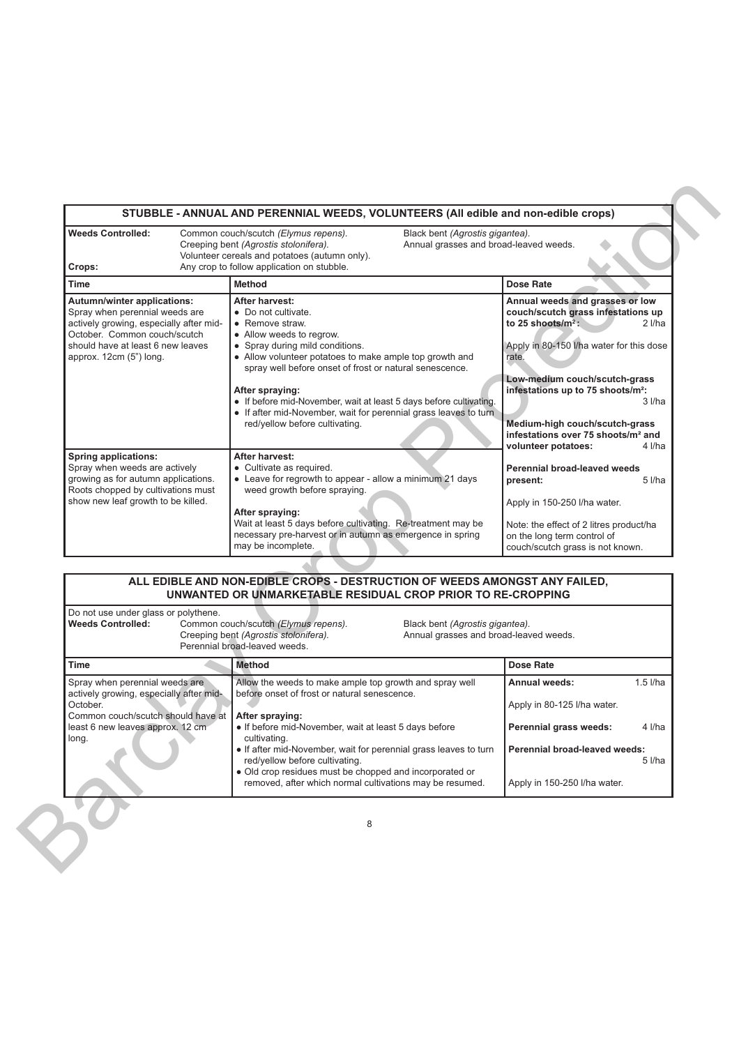| <b>Weeds Controlled:</b><br>Crops:                                                                                                                                                                       | Common couch/scutch (Elymus repens).<br>Black bent (Agrostis gigantea).<br>Creeping bent (Agrostis stolonifera).<br>Annual grasses and broad-leaved weeds.<br>Volunteer cereals and potatoes (autumn only).<br>Any crop to follow application on stubble.                                                                                                                                                                                    |                                                                                                                                                                                                                                                                                                                                                                                         |
|----------------------------------------------------------------------------------------------------------------------------------------------------------------------------------------------------------|----------------------------------------------------------------------------------------------------------------------------------------------------------------------------------------------------------------------------------------------------------------------------------------------------------------------------------------------------------------------------------------------------------------------------------------------|-----------------------------------------------------------------------------------------------------------------------------------------------------------------------------------------------------------------------------------------------------------------------------------------------------------------------------------------------------------------------------------------|
| <b>Time</b>                                                                                                                                                                                              | <b>Method</b>                                                                                                                                                                                                                                                                                                                                                                                                                                | <b>Dose Rate</b>                                                                                                                                                                                                                                                                                                                                                                        |
| Autumn/winter applications:<br>Spray when perennial weeds are<br>actively growing, especially after mid-<br>October. Common couch/scutch<br>should have at least 6 new leaves<br>approx. 12cm (5") long. | After harvest:<br>• Do not cultivate.<br>• Remove straw.<br>• Allow weeds to regrow.<br>• Spray during mild conditions.<br>• Allow volunteer potatoes to make ample top growth and<br>spray well before onset of frost or natural senescence.<br>After spraying:<br>• If before mid-November, wait at least 5 days before cultivating.<br>• If after mid-November, wait for perennial grass leaves to turn<br>red/yellow before cultivating. | Annual weeds and grasses or low<br>couch/scutch grass infestations up<br>to 25 shoots/ $m^2$ :<br>$2$ <i>l/ha</i><br>Apply in 80-150 I/ha water for this dose<br>rate.<br>Low-medium couch/scutch-grass<br>infestations up to 75 shoots/m <sup>2</sup> :<br>3 l/ha<br>Medium-high couch/scutch-grass<br>infestations over 75 shoots/m <sup>2</sup> and<br>volunteer potatoes:<br>4 I/ha |
| <b>Spring applications:</b><br>Spray when weeds are actively<br>growing as for autumn applications.<br>Roots chopped by cultivations must<br>show new leaf growth to be killed.                          | After harvest:<br>• Cultivate as required.<br>• Leave for regrowth to appear - allow a minimum 21 days<br>weed growth before spraying.<br>After spraying:<br>Wait at least 5 days before cultivating. Re-treatment may be<br>necessary pre-harvest or in autumn as emergence in spring<br>may be incomplete.                                                                                                                                 | Perennial broad-leaved weeds<br>present:<br>$5$ <i>l/ha</i><br>Apply in 150-250 I/ha water.<br>Note: the effect of 2 litres product/ha<br>on the long term control of<br>couch/scutch grass is not known.                                                                                                                                                                               |
|                                                                                                                                                                                                          | ALL EDIBLE AND NON-EDIBLE CROPS - DESTRUCTION OF WEEDS AMONGST ANY FAILED,<br>UNWANTED OR UNMARKETABLE RESIDUAL CROP PRIOR TO RE-CROPPING                                                                                                                                                                                                                                                                                                    |                                                                                                                                                                                                                                                                                                                                                                                         |
| Do not use under glass or polythene.<br><b>Weeds Controlled:</b>                                                                                                                                         | Common couch/scutch (Elymus repens).<br>Black bent (Agrostis gigantea).<br>Creeping bent (Agrostis stolonifera).<br>Annual grasses and broad-leaved weeds.<br>Perennial broad-leaved weeds.                                                                                                                                                                                                                                                  |                                                                                                                                                                                                                                                                                                                                                                                         |
| <b>Time</b>                                                                                                                                                                                              | <b>Method</b>                                                                                                                                                                                                                                                                                                                                                                                                                                | <b>Dose Rate</b>                                                                                                                                                                                                                                                                                                                                                                        |
| Spray when perennial weeds are<br>actively growing, especially after mid-<br>October.<br>Common couch/scutch should have at<br>least 6 new leaves approx. 12 cm<br>long.                                 | Allow the weeds to make ample top growth and spray well<br>before onset of frost or natural senescence.<br>After spraying:<br>• If before mid-November, wait at least 5 days before<br>cultivating.<br>• If after mid-November, wait for perennial grass leaves to turn<br>red/yellow before cultivating.<br>· Old crop residues must be chopped and incorporated or<br>removed, after which normal cultivations may be resumed.             | $1.5$ I/ha<br>Annual weeds:<br>Apply in 80-125 I/ha water.<br>4 l/ha<br>Perennial grass weeds:<br>Perennial broad-leaved weeds:<br>5 l/ha<br>Apply in 150-250 I/ha water.                                                                                                                                                                                                               |
|                                                                                                                                                                                                          | 8                                                                                                                                                                                                                                                                                                                                                                                                                                            |                                                                                                                                                                                                                                                                                                                                                                                         |

# **ALL EDIBLE AND NON-EDIBLE CROPS - DESTRUCTION OF WEEDS AMONGST ANY FAILED, UNWANTED OR UNMARKETABLE RESIDUAL CROP PRIOR TO RE-CROPPING**

| Do not use under glass or polythene.<br><b>Weeds Controlled:</b>          | Common couch/scutch (Elymus repens).<br>Creeping bent (Agrostis stolonifera).<br>Perennial broad-leaved weeds.                                                | Black bent (Agrostis gigantea).<br>Annual grasses and broad-leaved weeds. |                               |            |
|---------------------------------------------------------------------------|---------------------------------------------------------------------------------------------------------------------------------------------------------------|---------------------------------------------------------------------------|-------------------------------|------------|
| <b>Time</b>                                                               | Method                                                                                                                                                        |                                                                           | <b>Dose Rate</b>              |            |
| Spray when perennial weeds are<br>actively growing, especially after mid- | Allow the weeds to make ample top growth and spray well<br>before onset of frost or natural senescence.                                                       |                                                                           | Annual weeds:                 | $1.5$ I/ha |
| October.<br>Common couch/scutch should have at                            | After spraying:                                                                                                                                               |                                                                           | Apply in 80-125 I/ha water.   |            |
| least 6 new leaves approx. 12 cm<br>long.                                 | • If before mid-November, wait at least 5 days before<br>cultivating.                                                                                         |                                                                           | Perennial grass weeds:        | $4$ I/ha   |
|                                                                           | • If after mid-November, wait for perennial grass leaves to turn<br>red/yellow before cultivating.<br>• Old crop residues must be chopped and incorporated or |                                                                           | Perennial broad-leaved weeds: | $5$ I/ha   |
|                                                                           | removed, after which normal cultivations may be resumed.                                                                                                      |                                                                           | Apply in 150-250 I/ha water.  |            |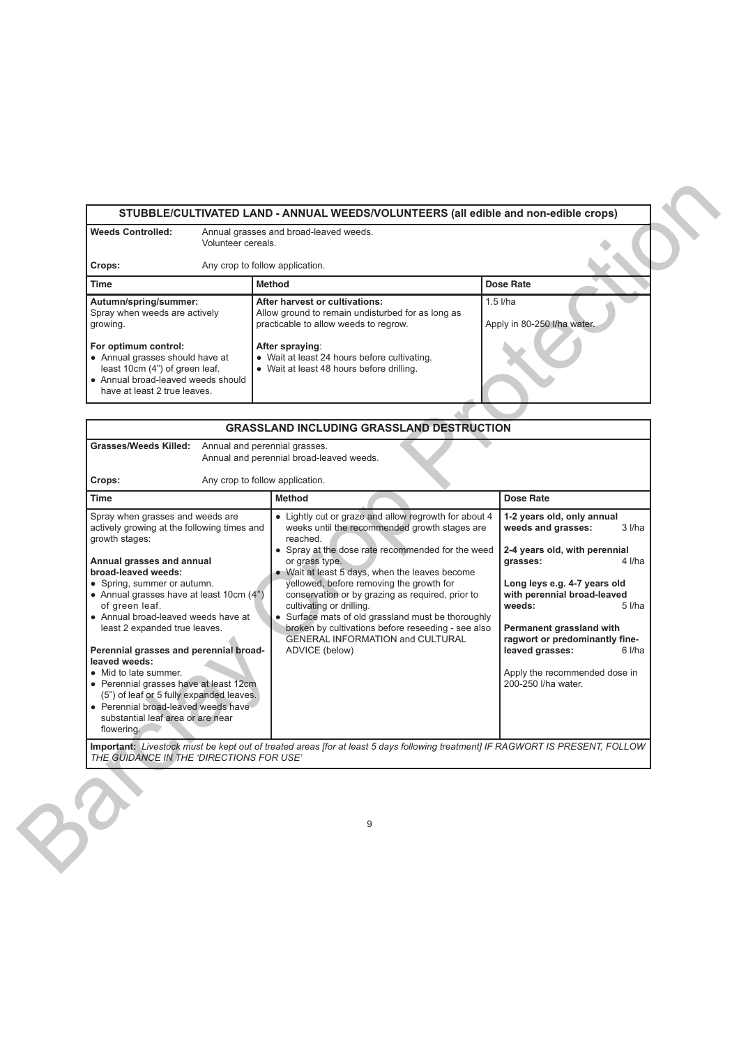|                                                                                                                                                                                                                                       | STUBBLE/CULTIVATED LAND - ANNUAL WEEDS/VOLUNTEERS (all edible and non-edible crops)                                                                                                                                                          |                                           |
|---------------------------------------------------------------------------------------------------------------------------------------------------------------------------------------------------------------------------------------|----------------------------------------------------------------------------------------------------------------------------------------------------------------------------------------------------------------------------------------------|-------------------------------------------|
| <b>Weeds Controlled:</b>                                                                                                                                                                                                              | Annual grasses and broad-leaved weeds.<br>Volunteer cereals.                                                                                                                                                                                 |                                           |
| Crops:                                                                                                                                                                                                                                | Any crop to follow application.                                                                                                                                                                                                              |                                           |
| <b>Time</b>                                                                                                                                                                                                                           | <b>Method</b>                                                                                                                                                                                                                                | <b>Dose Rate</b>                          |
| Autumn/spring/summer:<br>Spray when weeds are actively<br>growing.<br>For optimum control:<br>• Annual grasses should have at<br>least 10cm (4") of green leaf.<br>• Annual broad-leaved weeds should<br>have at least 2 true leaves. | After harvest or cultivations:<br>Allow ground to remain undisturbed for as long as<br>practicable to allow weeds to regrow.<br>After spraying:<br>• Wait at least 24 hours before cultivating.<br>• Wait at least 48 hours before drilling. | $1.5$ I/ha<br>Apply in 80-250 I/ha water. |

| <b>Weeds Controlled:</b><br>Volunteer cereals.                                                                                                                                                                                                                                                                                                                                                                                                                                                                                                                                                 | Annual grasses and broad-leaved weeds.                                                                                                                                                                                                                                                                                                                                                                                                                                                                                                    |                                                                                                                                                                                                                                                                                                                                                           |  |
|------------------------------------------------------------------------------------------------------------------------------------------------------------------------------------------------------------------------------------------------------------------------------------------------------------------------------------------------------------------------------------------------------------------------------------------------------------------------------------------------------------------------------------------------------------------------------------------------|-------------------------------------------------------------------------------------------------------------------------------------------------------------------------------------------------------------------------------------------------------------------------------------------------------------------------------------------------------------------------------------------------------------------------------------------------------------------------------------------------------------------------------------------|-----------------------------------------------------------------------------------------------------------------------------------------------------------------------------------------------------------------------------------------------------------------------------------------------------------------------------------------------------------|--|
| Crops:                                                                                                                                                                                                                                                                                                                                                                                                                                                                                                                                                                                         | Any crop to follow application.                                                                                                                                                                                                                                                                                                                                                                                                                                                                                                           |                                                                                                                                                                                                                                                                                                                                                           |  |
| <b>Time</b>                                                                                                                                                                                                                                                                                                                                                                                                                                                                                                                                                                                    | <b>Method</b>                                                                                                                                                                                                                                                                                                                                                                                                                                                                                                                             | <b>Dose Rate</b>                                                                                                                                                                                                                                                                                                                                          |  |
| Autumn/spring/summer:<br>Spray when weeds are actively<br>growing.                                                                                                                                                                                                                                                                                                                                                                                                                                                                                                                             | After harvest or cultivations:<br>Allow ground to remain undisturbed for as long as<br>practicable to allow weeds to regrow.                                                                                                                                                                                                                                                                                                                                                                                                              | $1.5$ l/ha<br>Apply in 80-250 I/ha water.                                                                                                                                                                                                                                                                                                                 |  |
| For optimum control:<br>• Annual grasses should have at<br>least 10cm (4") of green leaf.<br>• Annual broad-leaved weeds should<br>have at least 2 true leaves.                                                                                                                                                                                                                                                                                                                                                                                                                                | After spraying:<br>• Wait at least 24 hours before cultivating.<br>• Wait at least 48 hours before drilling.                                                                                                                                                                                                                                                                                                                                                                                                                              |                                                                                                                                                                                                                                                                                                                                                           |  |
|                                                                                                                                                                                                                                                                                                                                                                                                                                                                                                                                                                                                | <b>GRASSLAND INCLUDING GRASSLAND DESTRUCTION</b>                                                                                                                                                                                                                                                                                                                                                                                                                                                                                          |                                                                                                                                                                                                                                                                                                                                                           |  |
| Grasses/Weeds Killed:<br>Crops:                                                                                                                                                                                                                                                                                                                                                                                                                                                                                                                                                                | Annual and perennial grasses.<br>Annual and perennial broad-leaved weeds.<br>Any crop to follow application.                                                                                                                                                                                                                                                                                                                                                                                                                              |                                                                                                                                                                                                                                                                                                                                                           |  |
| Time                                                                                                                                                                                                                                                                                                                                                                                                                                                                                                                                                                                           | <b>Method</b>                                                                                                                                                                                                                                                                                                                                                                                                                                                                                                                             | Dose Rate                                                                                                                                                                                                                                                                                                                                                 |  |
| Spray when grasses and weeds are<br>actively growing at the following times and<br>growth stages:<br>Annual grasses and annual<br>broad-leaved weeds:<br>• Spring, summer or autumn.<br>• Annual grasses have at least 10cm (4")<br>of green leaf.<br>• Annual broad-leaved weeds have at<br>least 2 expanded true leaves.<br>Perennial grasses and perennial broad-<br>leaved weeds:<br>• Mid to late summer.<br>• Perennial grasses have at least 12cm<br>(5") of leaf or 5 fully expanded leaves.<br>• Perennial broad-leaved weeds have<br>substantial leaf area or are near<br>flowering. | • Lightly cut or graze and allow regrowth for about 4<br>weeks until the recommended growth stages are<br>reached.<br>• Spray at the dose rate recommended for the weed<br>or grass type.<br>• Wait at least 5 days, when the leaves become<br>yellowed, before removing the growth for<br>conservation or by grazing as required, prior to<br>cultivating or drilling.<br>• Surface mats of old grassland must be thoroughly<br>broken by cultivations before reseeding - see also<br>GENERAL INFORMATION and CULTURAL<br>ADVICE (below) | 1-2 years old, only annual<br>weeds and grasses:<br>3 l/ha<br>2-4 years old, with perennial<br>grasses:<br>4 I/ha<br>Long leys e.g. 4-7 years old<br>with perennial broad-leaved<br>weeds:<br>$5$ I/ha<br>Permanent grassland with<br>ragwort or predominantly fine-<br>leaved grasses:<br>6 l/ha<br>Apply the recommended dose in<br>200-250 I/ha water. |  |
| THE GUIDANCE IN THE 'DIRECTIONS FOR USE'                                                                                                                                                                                                                                                                                                                                                                                                                                                                                                                                                       | Important: Livestock must be kept out of treated areas [for at least 5 days following treatment] IF RAGWORT IS PRESENT, FOLLOW<br>9                                                                                                                                                                                                                                                                                                                                                                                                       |                                                                                                                                                                                                                                                                                                                                                           |  |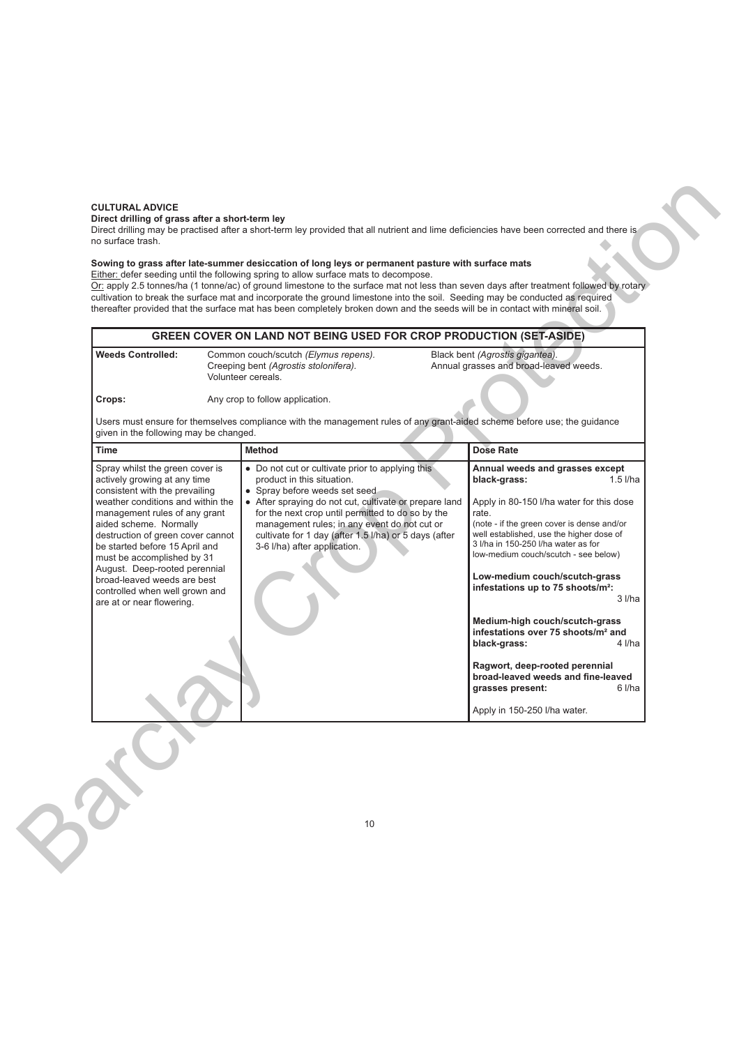### **CULTURAL ADVICE**

### **Direct drilling of grass after a short-term ley**

# **Sowing to grass after late-summer desiccation of long leys or permanent pasture with surface mats**

# **GREEN COVER ON LAND NOT BEING USED FOR CROP PRODUCTION (SET-ASIDE) Weeds Controlled:** Common couch/scutch *(Elymus repens).* Black bent *(Agrostis gigantea).* Annual grasses and broad-leaved weeds. Volunteer cereals. **Crops:** Any crop to follow application.

| <b>GREEN COVER ON LAND NOT BEING USED FOR CROP PRODUCTION (SET-ASIDE)</b><br>Black bent (Agrostis gigantea).<br><b>Weeds Controlled:</b><br>Common couch/scutch (Elymus repens).<br>Annual grasses and broad-leaved weeds.<br>Creeping bent (Agrostis stolonifera).<br>Volunteer cereals.<br>Crops:<br>Any crop to follow application.<br>Users must ensure for themselves compliance with the management rules of any grant-aided scheme before use; the guidance<br>given in the following may be changed.<br><b>Dose Rate</b><br><b>Time</b><br><b>Method</b><br>• Do not cut or cultivate prior to applying this<br>Spray whilst the green cover is<br>Annual weeds and grasses except<br>actively growing at any time<br>product in this situation.<br>$1.5$ I/ha<br>black-grass:<br>consistent with the prevailing<br>• Spray before weeds set seed<br>weather conditions and within the<br>• After spraying do not cut, cultivate or prepare land<br>Apply in 80-150 I/ha water for this dose<br>for the next crop until permitted to do so by the<br>management rules of any grant<br>rate.<br>aided scheme. Normally<br>management rules; in any event do not cut or<br>(note - if the green cover is dense and/or<br>well established, use the higher dose of<br>cultivate for 1 day (after 1.5 l/ha) or 5 days (after<br>destruction of green cover cannot<br>3 I/ha in 150-250 I/ha water as for<br>be started before 15 April and<br>3-6 I/ha) after application.<br>low-medium couch/scutch - see below)<br>must be accomplished by 31<br>August. Deep-rooted perennial<br>Low-medium couch/scutch-grass<br>broad-leaved weeds are best<br>infestations up to 75 shoots/m <sup>2</sup> :<br>controlled when well grown and<br>$3$ <i>l/ha</i><br>are at or near flowering. |
|------------------------------------------------------------------------------------------------------------------------------------------------------------------------------------------------------------------------------------------------------------------------------------------------------------------------------------------------------------------------------------------------------------------------------------------------------------------------------------------------------------------------------------------------------------------------------------------------------------------------------------------------------------------------------------------------------------------------------------------------------------------------------------------------------------------------------------------------------------------------------------------------------------------------------------------------------------------------------------------------------------------------------------------------------------------------------------------------------------------------------------------------------------------------------------------------------------------------------------------------------------------------------------------------------------------------------------------------------------------------------------------------------------------------------------------------------------------------------------------------------------------------------------------------------------------------------------------------------------------------------------------------------------------------------------------------------------------------------------------------------------------------------------------|
|                                                                                                                                                                                                                                                                                                                                                                                                                                                                                                                                                                                                                                                                                                                                                                                                                                                                                                                                                                                                                                                                                                                                                                                                                                                                                                                                                                                                                                                                                                                                                                                                                                                                                                                                                                                          |
|                                                                                                                                                                                                                                                                                                                                                                                                                                                                                                                                                                                                                                                                                                                                                                                                                                                                                                                                                                                                                                                                                                                                                                                                                                                                                                                                                                                                                                                                                                                                                                                                                                                                                                                                                                                          |
|                                                                                                                                                                                                                                                                                                                                                                                                                                                                                                                                                                                                                                                                                                                                                                                                                                                                                                                                                                                                                                                                                                                                                                                                                                                                                                                                                                                                                                                                                                                                                                                                                                                                                                                                                                                          |
| Medium-high couch/scutch-grass<br>infestations over 75 shoots/m <sup>2</sup> and<br>black-grass:<br>4 I/ha<br>Ragwort, deep-rooted perennial<br>broad-leaved weeds and fine-leaved<br>6 l/ha<br>grasses present:<br>Apply in 150-250 I/ha water.                                                                                                                                                                                                                                                                                                                                                                                                                                                                                                                                                                                                                                                                                                                                                                                                                                                                                                                                                                                                                                                                                                                                                                                                                                                                                                                                                                                                                                                                                                                                         |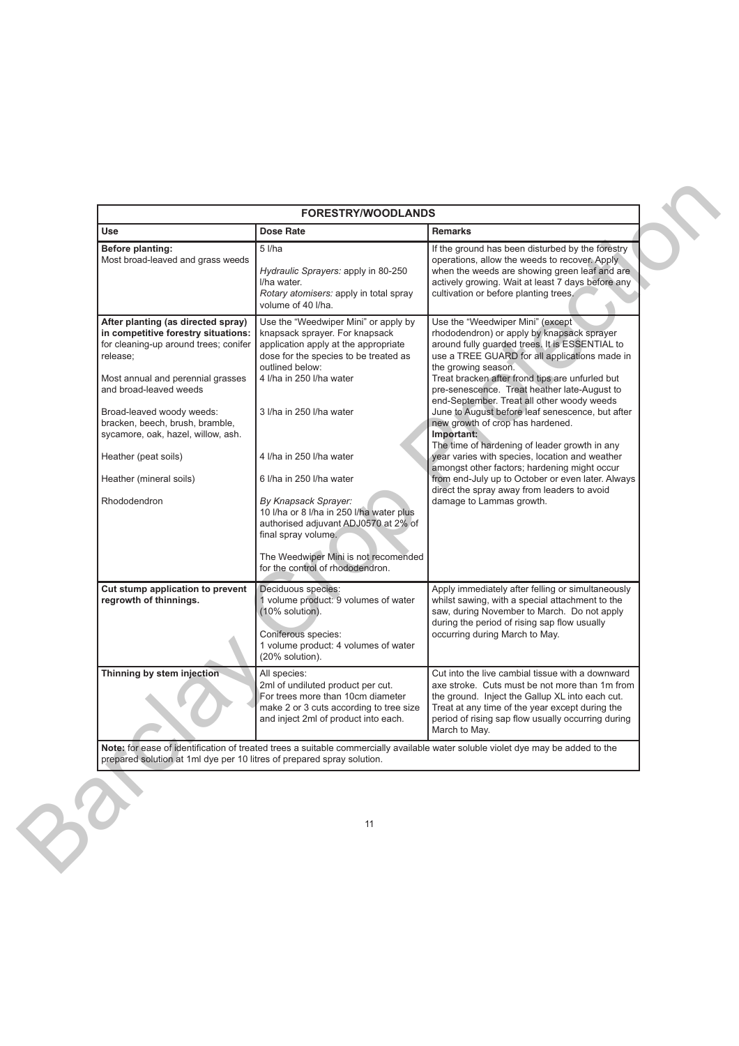| <b>Use</b>                                                                                                                                                                                                                                                                                          | Dose Rate                                                                                                                                                                                                                          | Remarks                                                                                                                                                                                                                                                                                                                                                                                                                                                         |
|-----------------------------------------------------------------------------------------------------------------------------------------------------------------------------------------------------------------------------------------------------------------------------------------------------|------------------------------------------------------------------------------------------------------------------------------------------------------------------------------------------------------------------------------------|-----------------------------------------------------------------------------------------------------------------------------------------------------------------------------------------------------------------------------------------------------------------------------------------------------------------------------------------------------------------------------------------------------------------------------------------------------------------|
| Before planting:<br>Most broad-leaved and grass weeds                                                                                                                                                                                                                                               | $5$ $1/ha$<br>Hydraulic Sprayers: apply in 80-250<br>I/ha water.<br>Rotary atomisers: apply in total spray<br>volume of 40 I/ha.                                                                                                   | If the ground has been disturbed by the forestry<br>operations, allow the weeds to recover. Apply<br>when the weeds are showing green leaf and are<br>actively growing. Wait at least 7 days before any<br>cultivation or before planting trees.                                                                                                                                                                                                                |
| After planting (as directed spray)<br>in competitive forestry situations:<br>for cleaning-up around trees; conifer<br>release;<br>Most annual and perennial grasses<br>and broad-leaved weeds<br>Broad-leaved woody weeds:<br>bracken, beech, brush, bramble,<br>sycamore, oak, hazel, willow, ash. | Use the "Weedwiper Mini" or apply by<br>knapsack sprayer. For knapsack<br>application apply at the appropriate<br>dose for the species to be treated as<br>outlined below:<br>4 I/ha in 250 I/ha water<br>3 I/ha in 250 I/ha water | Use the "Weedwiper Mini" (except<br>rhododendron) or apply by knapsack sprayer<br>around fully quarded trees. It is ESSENTIAL to<br>use a TREE GUARD for all applications made in<br>the growing season.<br>Treat bracken after frond tips are unfurled but<br>pre-senescence. Treat heather late-August to<br>end-September. Treat all other woody weeds<br>June to August before leaf senescence, but after<br>new growth of crop has hardened.<br>Important: |
| Heather (peat soils)<br>Heather (mineral soils)                                                                                                                                                                                                                                                     | 4 I/ha in 250 I/ha water<br>6 I/ha in 250 I/ha water                                                                                                                                                                               | The time of hardening of leader growth in any<br>year varies with species, location and weather<br>amongst other factors; hardening might occur<br>from end-July up to October or even later. Always                                                                                                                                                                                                                                                            |
| Rhododendron                                                                                                                                                                                                                                                                                        | By Knapsack Sprayer:<br>10 I/ha or 8 I/ha in 250 I/ha water plus<br>authorised adjuvant ADJ0570 at 2% of<br>final spray volume.<br>The Weedwiper Mini is not recomended<br>for the control of rhododendron.                        | direct the spray away from leaders to avoid<br>damage to Lammas growth.                                                                                                                                                                                                                                                                                                                                                                                         |
| Cut stump application to prevent<br>regrowth of thinnings.                                                                                                                                                                                                                                          | Deciduous species:<br>1 volume product: 9 volumes of water<br>(10% solution).<br>Coniferous species:<br>1 volume product: 4 volumes of water<br>(20% solution).                                                                    | Apply immediately after felling or simultaneously<br>whilst sawing, with a special attachment to the<br>saw, during November to March. Do not apply<br>during the period of rising sap flow usually<br>occurring during March to May.                                                                                                                                                                                                                           |
| Thinning by stem injection                                                                                                                                                                                                                                                                          | All species:<br>2ml of undiluted product per cut.<br>For trees more than 10cm diameter<br>make 2 or 3 cuts according to tree size<br>and inject 2ml of product into each.                                                          | Cut into the live cambial tissue with a downward<br>axe stroke. Cuts must be not more than 1m from<br>the ground. Inject the Gallup XL into each cut.<br>Treat at any time of the year except during the<br>period of rising sap flow usually occurring during<br>March to May.                                                                                                                                                                                 |
| prepared solution at 1ml dye per 10 litres of prepared spray solution.                                                                                                                                                                                                                              |                                                                                                                                                                                                                                    | Note: for ease of identification of treated trees a suitable commercially available water soluble violet dye may be added to the                                                                                                                                                                                                                                                                                                                                |
|                                                                                                                                                                                                                                                                                                     | 11                                                                                                                                                                                                                                 |                                                                                                                                                                                                                                                                                                                                                                                                                                                                 |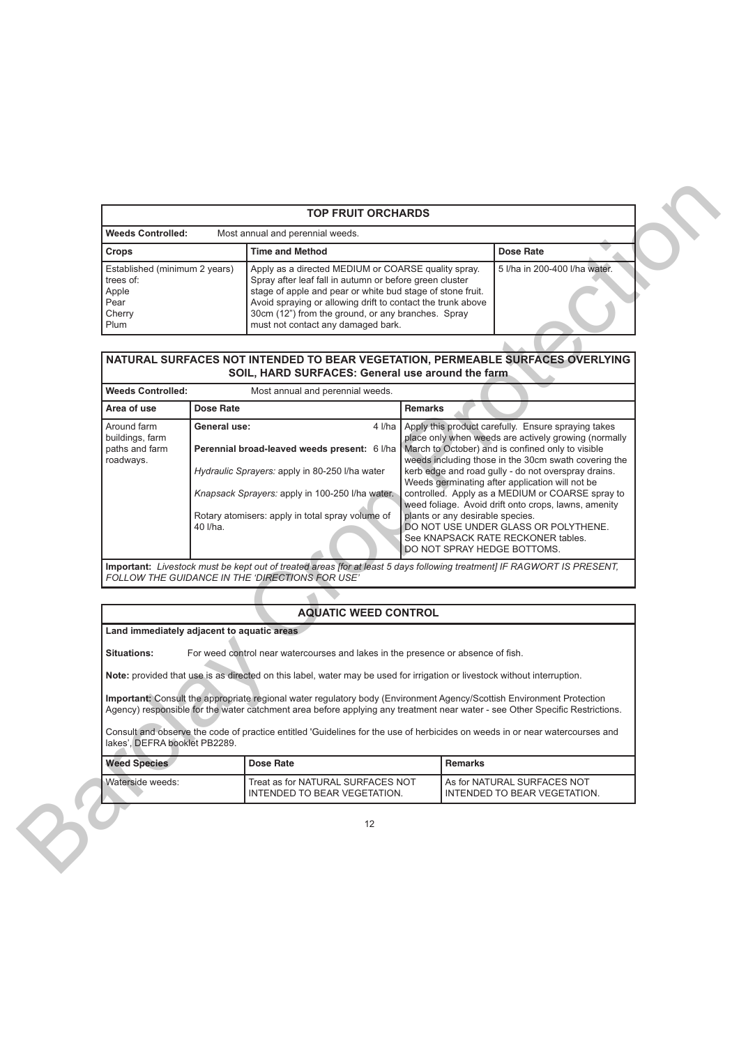| <b>TOP FRUIT ORCHARDS</b>                                                     |                                                                                                                                                                                                                                                                                                                                         |                               |  |  |  |  |
|-------------------------------------------------------------------------------|-----------------------------------------------------------------------------------------------------------------------------------------------------------------------------------------------------------------------------------------------------------------------------------------------------------------------------------------|-------------------------------|--|--|--|--|
| <b>Weeds Controlled:</b><br>Most annual and perennial weeds.                  |                                                                                                                                                                                                                                                                                                                                         |                               |  |  |  |  |
| <b>Crops</b>                                                                  | <b>Time and Method</b>                                                                                                                                                                                                                                                                                                                  | Dose Rate                     |  |  |  |  |
| Established (minimum 2 years)<br>trees of:<br>Apple<br>Pear<br>Cherry<br>Plum | Apply as a directed MEDIUM or COARSE quality spray.<br>Spray after leaf fall in autumn or before green cluster<br>stage of apple and pear or white bud stage of stone fruit.<br>Avoid spraying or allowing drift to contact the trunk above<br>30cm (12") from the ground, or any branches. Spray<br>must not contact any damaged bark. | 5 I/ha in 200-400 I/ha water. |  |  |  |  |

# **NATURAL SURFACES NOT INTENDED TO BEAR VEGETATION, PERMEABLE SURFACES OVERLYING SOIL, HARD SURFACES: General use around the farm**

| <b>Weeds Controlled:</b>                                                                               |                                                                                                                                                                                                                                                                                                                                         | Most annual and perennial weeds.                                                                                                                                                                                                                      |                                                                                                                                                                                                                                                                                                                                                                                                                                                                                                                                                                                                 |                                                             |
|--------------------------------------------------------------------------------------------------------|-----------------------------------------------------------------------------------------------------------------------------------------------------------------------------------------------------------------------------------------------------------------------------------------------------------------------------------------|-------------------------------------------------------------------------------------------------------------------------------------------------------------------------------------------------------------------------------------------------------|-------------------------------------------------------------------------------------------------------------------------------------------------------------------------------------------------------------------------------------------------------------------------------------------------------------------------------------------------------------------------------------------------------------------------------------------------------------------------------------------------------------------------------------------------------------------------------------------------|-------------------------------------------------------------|
| Crops                                                                                                  |                                                                                                                                                                                                                                                                                                                                         | <b>Time and Method</b>                                                                                                                                                                                                                                |                                                                                                                                                                                                                                                                                                                                                                                                                                                                                                                                                                                                 | Dose Rate                                                   |
| Established (minimum 2 years)<br>trees of:<br>Apple<br>Pear<br>Cherry<br>Plum                          | Apply as a directed MEDIUM or COARSE quality spray.<br>Spray after leaf fall in autumn or before green cluster<br>stage of apple and pear or white bud stage of stone fruit.<br>Avoid spraying or allowing drift to contact the trunk above<br>30cm (12") from the ground, or any branches. Spray<br>must not contact any damaged bark. |                                                                                                                                                                                                                                                       |                                                                                                                                                                                                                                                                                                                                                                                                                                                                                                                                                                                                 | 5 I/ha in 200-400 I/ha water.                               |
|                                                                                                        |                                                                                                                                                                                                                                                                                                                                         | NATURAL SURFACES NOT INTENDED TO BEAR VEGETATION, PERMEABLE SURFACES OVERLYING<br>SOIL, HARD SURFACES: General use around the farm.                                                                                                                   |                                                                                                                                                                                                                                                                                                                                                                                                                                                                                                                                                                                                 |                                                             |
| <b>Weeds Controlled:</b>                                                                               |                                                                                                                                                                                                                                                                                                                                         | Most annual and perennial weeds.                                                                                                                                                                                                                      |                                                                                                                                                                                                                                                                                                                                                                                                                                                                                                                                                                                                 |                                                             |
| Area of use                                                                                            | <b>Dose Rate</b>                                                                                                                                                                                                                                                                                                                        |                                                                                                                                                                                                                                                       | Remarks                                                                                                                                                                                                                                                                                                                                                                                                                                                                                                                                                                                         |                                                             |
| Around farm<br>buildings, farm<br>paths and farm<br>roadways.                                          | General use:<br>40 I/ha.                                                                                                                                                                                                                                                                                                                | 4 I/ha<br>Perennial broad-leaved weeds present: 6 l/ha<br>Hydraulic Sprayers: apply in 80-250 I/ha water<br>Knapsack Sprayers: apply in 100-250 I/ha water.<br>Rotary atomisers: apply in total spray volume of                                       | Apply this product carefully. Ensure spraying takes<br>place only when weeds are actively growing (normally<br>March to October) and is confined only to visible<br>weeds including those in the 30cm swath covering the<br>kerb edge and road gully - do not overspray drains.<br>Weeds germinating after application will not be<br>controlled. Apply as a MEDIUM or COARSE spray to<br>weed foliage. Avoid drift onto crops, lawns, amenity<br>plants or any desirable species.<br>DO NOT USE UNDER GLASS OR POLYTHENE.<br>See KNAPSACK RATE RECKONER tables.<br>DO NOT SPRAY HEDGE BOTTOMS. |                                                             |
|                                                                                                        |                                                                                                                                                                                                                                                                                                                                         | Important: Livestock must be kept out of treated areas [for at least 5 days following treatment] IF RAGWORT IS PRESENT,<br>FOLLOW THE GUIDANCE IN THE 'DIRECTIONS FOR USE'                                                                            |                                                                                                                                                                                                                                                                                                                                                                                                                                                                                                                                                                                                 |                                                             |
|                                                                                                        |                                                                                                                                                                                                                                                                                                                                         |                                                                                                                                                                                                                                                       |                                                                                                                                                                                                                                                                                                                                                                                                                                                                                                                                                                                                 |                                                             |
|                                                                                                        |                                                                                                                                                                                                                                                                                                                                         | <b>AQUATIC WEED CONTROL</b>                                                                                                                                                                                                                           |                                                                                                                                                                                                                                                                                                                                                                                                                                                                                                                                                                                                 |                                                             |
| Land immediately adjacent to aquatic areas                                                             |                                                                                                                                                                                                                                                                                                                                         |                                                                                                                                                                                                                                                       |                                                                                                                                                                                                                                                                                                                                                                                                                                                                                                                                                                                                 |                                                             |
| For weed control near watercourses and lakes in the presence or absence of fish.<br><b>Situations:</b> |                                                                                                                                                                                                                                                                                                                                         |                                                                                                                                                                                                                                                       |                                                                                                                                                                                                                                                                                                                                                                                                                                                                                                                                                                                                 |                                                             |
|                                                                                                        |                                                                                                                                                                                                                                                                                                                                         | Note: provided that use is as directed on this label, water may be used for irrigation or livestock without interruption.                                                                                                                             |                                                                                                                                                                                                                                                                                                                                                                                                                                                                                                                                                                                                 |                                                             |
|                                                                                                        |                                                                                                                                                                                                                                                                                                                                         | Important: Consult the appropriate regional water regulatory body (Environment Agency/Scottish Environment Protection<br>Agency) responsible for the water catchment area before applying any treatment near water - see Other Specific Restrictions. |                                                                                                                                                                                                                                                                                                                                                                                                                                                                                                                                                                                                 |                                                             |
| lakes', DEFRA booklet PB2289.                                                                          |                                                                                                                                                                                                                                                                                                                                         | Consult and observe the code of practice entitled 'Guidelines for the use of herbicides on weeds in or near watercourses and                                                                                                                          |                                                                                                                                                                                                                                                                                                                                                                                                                                                                                                                                                                                                 |                                                             |
| <b>Weed Species</b>                                                                                    |                                                                                                                                                                                                                                                                                                                                         | Dose Rate                                                                                                                                                                                                                                             | Remarks                                                                                                                                                                                                                                                                                                                                                                                                                                                                                                                                                                                         |                                                             |
| Waterside weeds:                                                                                       |                                                                                                                                                                                                                                                                                                                                         | Treat as for NATURAL SURFACES NOT<br>INTENDED TO BEAR VEGETATION.                                                                                                                                                                                     |                                                                                                                                                                                                                                                                                                                                                                                                                                                                                                                                                                                                 | As for NATURAL SURFACES NOT<br>INTENDED TO BEAR VEGETATION. |
|                                                                                                        |                                                                                                                                                                                                                                                                                                                                         | 12                                                                                                                                                                                                                                                    |                                                                                                                                                                                                                                                                                                                                                                                                                                                                                                                                                                                                 |                                                             |

# **AQUATIC WEED CONTROL**

# **Land immediately adjacent to aquatic areas**

| <b>Weed Species</b> | Dose Rate                         | <b>Remarks</b>                        |
|---------------------|-----------------------------------|---------------------------------------|
| Waterside weeds:    | Treat as for NATURAL SURFACES NOT | <b>I As for NATURAL SURFACES NOT</b>  |
|                     | INTENDED TO BEAR VEGETATION.      | <b>I INTENDED TO BEAR VEGETATION.</b> |

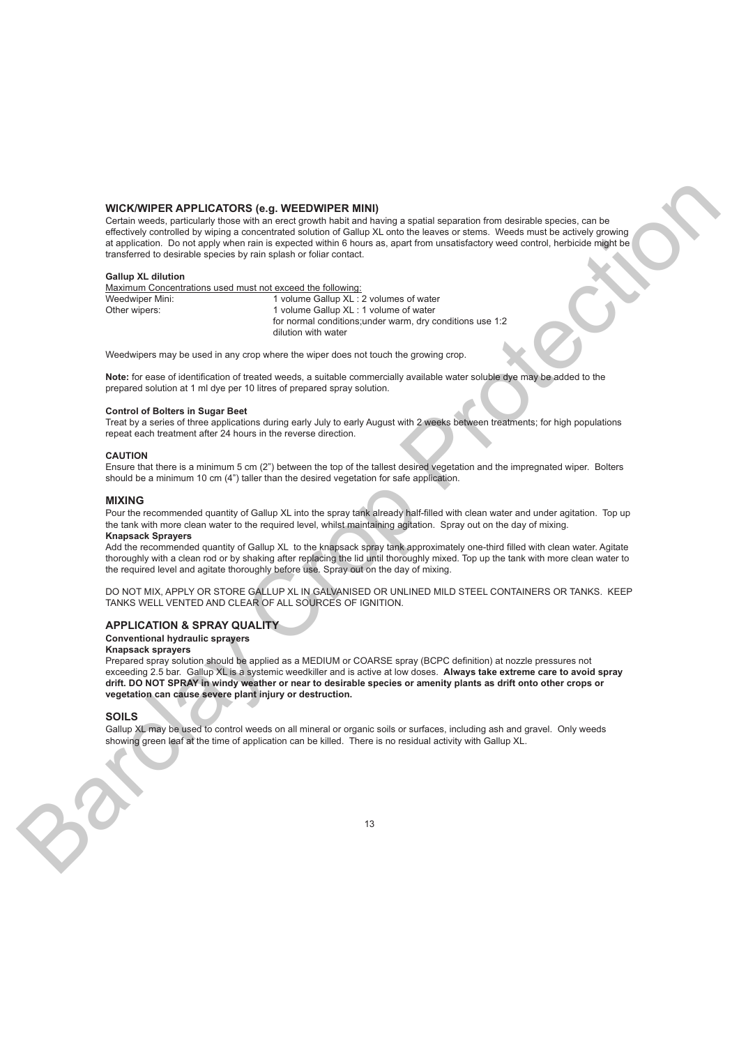# **WICK/WIPER APPLICATORS (e.g. WEEDWIPER MINI)**

Certain weeds, particularly those with an erect growth habit and having a spatial separation from desirable species, can be effectively controlled by wiping a concentrated solution of Gallup XL onto the leaves or stems. Weeds must be actively growing at application. Do not apply when rain is expected within 6 hours as, apart from unsatisfactory weed control, herbicide might be transferred to desirable species by rain splash or foliar contact. WICKWIRE RAPPLICATORS (i.g. WEEDWIRE MAI)<br>
Corn was considered to the state and considered to the state and the state and the state and the state and the state and the state and the state and the state and the state and t

# **Gallup XL dilution**

Maximum Concentrations used must not exceed the following: Weedwiper Mini: 1 volume Gallup XL : 2 volumes of water Other wipers: 1 volume Gallup XL : 1 volume of water for normal conditions;under warm, dry conditions use 1:2 dilution with water

Weedwipers may be used in any crop where the wiper does not touch the growing crop.

**Note:** for ease of identification of treated weeds, a suitable commercially available water soluble dye may be added to the prepared solution at 1 ml dye per 10 litres of prepared spray solution.

### **Control of Bolters in Sugar Beet**

Treat by a series of three applications during early July to early August with 2 weeks between treatments; for high populations repeat each treatment after 24 hours in the reverse direction.

## **CAUTION**

Ensure that there is a minimum 5 cm (2") between the top of the tallest desired vegetation and the impregnated wiper. Bolters should be a minimum 10 cm (4") taller than the desired vegetation for safe application.

### **MIXING**

Pour the recommended quantity of Gallup XL into the spray tank already half-filled with clean water and under agitation. Top up the tank with more clean water to the required level, whilst maintaining agitation. Spray out on the day of mixing. **Knapsack Sprayers**

### Add the recommended quantity of Gallup XL to the knapsack spray tank approximately one-third filled with clean water. Agitate thoroughly with a clean rod or by shaking after replacing the lid until thoroughly mixed. Top up the tank with more clean water to the required level and agitate thoroughly before use. Spray out on the day of mixing.

DO NOT MIX, APPLY OR STORE GALLUP XL IN GALVANISED OR UNLINED MILD STEEL CONTAINERS OR TANKS. KEEP TANKS WELL VENTED AND CLEAR OF ALL SOURCES OF IGNITION.

# **APPLICATION & SPRAY QUALITY**

**Conventional hydraulic sprayers**

# **Knapsack sprayers**

Prepared spray solution should be applied as a MEDIUM or COARSE spray (BCPC definition) at nozzle pressures not exceeding 2.5 bar. Gallup XL is a systemic weedkiller and is active at low doses. **Always take extreme care to avoid spray drift. DO NOT SPRAY in windy weather or near to desirable species or amenity plants as drift onto other crops or vegetation can cause severe plant injury or destruction.**

### **SOILS**

Gallup XL may be used to control weeds on all mineral or organic soils or surfaces, including ash and gravel. Only weeds showing green leaf at the time of application can be killed. There is no residual activity with Gallup XL.